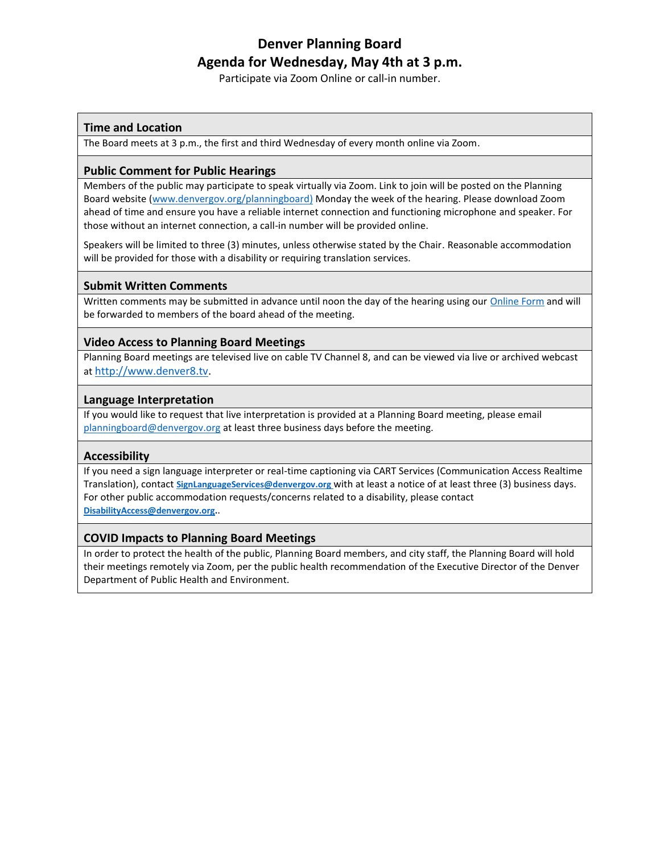# **Denver Planning Board Agenda for Wednesday, May 4th at 3 p.m.**

Participate via Zoom Online or call-in number.

# **Time and Location**

The Board meets at 3 p.m., the first and third Wednesday of every month online via Zoom.

# **Public Comment for Public Hearings**

Members of the public may participate to speak virtually via Zoom. Link to join will be posted on the Planning Board website [\(www.denvergov.org/planningboard\)](http://www.denvergov.org/planningboard) Monday the week of the hearing. Please download Zoom ahead of time and ensure you have a reliable internet connection and functioning microphone and speaker. For those without an internet connection, a call-in number will be provided online.

Speakers will be limited to three (3) minutes, unless otherwise stated by the Chair. Reasonable accommodation will be provided for those with a disability or requiring translation services.

## **Submit Written Comments**

Written comments may be submitted in advance until noon the day of the hearing using ou[r Online Form](https://www.denvergov.org/Government/Departments/Community-Planning-and-Development/Boards-and-Commissions/Planning-Board/Planning-Board-Comment-Form?transfer=d1d34e2d-59a9-4c72-ba6a-d4bfc9217fc3) and will be forwarded to members of the board ahead of the meeting.

# **Video Access to Planning Board Meetings**

Planning Board meetings are televised live on cable TV Channel 8, and can be viewed via live or archived webcast at [http://www.denver8.tv.](http://www.denver8.tv/)

## **Language Interpretation**

If you would like to request that live interpretation is provided at a Planning Board meeting, please email [planningboard@denvergov.org](mailto:planningboard@denvergov.org) at least three business days before the meeting.

#### **Accessibility**

If you need a sign language interpreter or real-time captioning via CART Services (Communication Access Realtime Translation), contact **[SignLanguageServices@denvergov.org](mailto:SignLanguageServices@denvergov.org)** with at least a notice of at least three (3) business days. For other public accommodation requests/concerns related to a disability, please contact **[DisabilityAccess@denvergov.org.](mailto:DisabilityAccess@denvergov.org)**.

#### **COVID Impacts to Planning Board Meetings**

In order to protect the health of the public, Planning Board members, and city staff, the Planning Board will hold their meetings remotely via Zoom, per the public health recommendation of the Executive Director of the Denver Department of Public Health and Environment.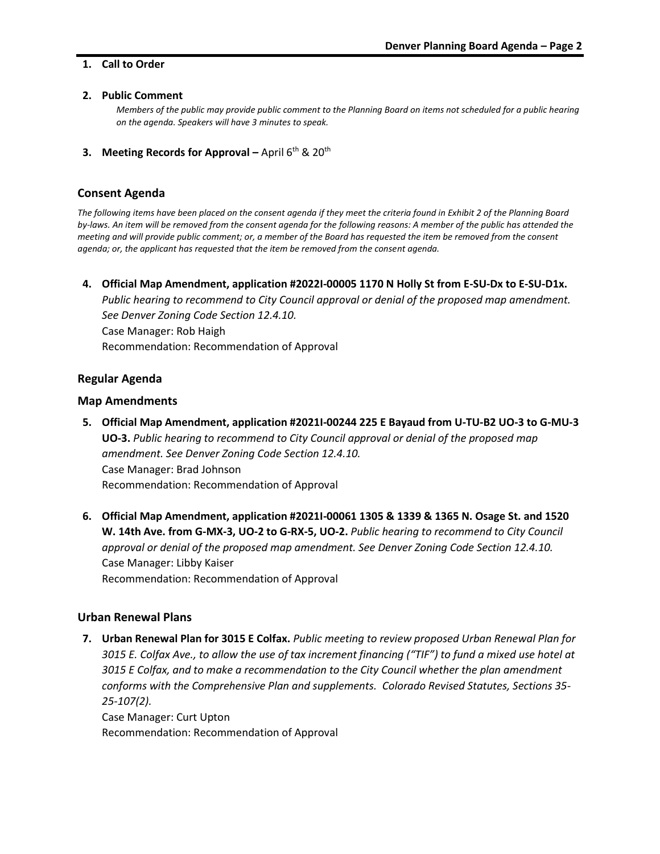#### **1. Call to Order**

#### **2. Public Comment**

*Members of the public may provide public comment to the Planning Board on items not scheduled for a public hearing on the agenda. Speakers will have 3 minutes to speak.* 

**3. Meeting Records for Approval** – April 6<sup>th</sup> & 20<sup>th</sup>

#### **Consent Agenda**

*The following items have been placed on the consent agenda if they meet the criteria found in Exhibit 2 of the Planning Board by-laws. An item will be removed from the consent agenda for the following reasons: A member of the public has attended the meeting and will provide public comment; or, a member of the Board has requested the item be removed from the consent agenda; or, the applicant has requested that the item be removed from the consent agenda.*

**4. Official Map Amendment, application #2022I-00005 1170 N Holly St from E-SU-Dx to E-SU-D1x.** *Public hearing to recommend to City Council approval or denial of the proposed map amendment. See Denver Zoning Code Section 12.4.10.* Case Manager: Rob Haigh Recommendation: Recommendation of Approval

## **Regular Agenda**

#### **Map Amendments**

- **5. Official Map Amendment, application #2021I-00244 225 E Bayaud from U-TU-B2 UO-3 to G-MU-3 UO-3.** *Public hearing to recommend to City Council approval or denial of the proposed map amendment. See Denver Zoning Code Section 12.4.10.* Case Manager: Brad Johnson Recommendation: Recommendation of Approval
- **6. Official Map Amendment, application #2021I-00061 1305 & 1339 & 1365 N. Osage St. and 1520 W. 14th Ave. from G-MX-3, UO-2 to G-RX-5, UO-2.** *Public hearing to recommend to City Council approval or denial of the proposed map amendment. See Denver Zoning Code Section 12.4.10.* Case Manager: Libby Kaiser Recommendation: Recommendation of Approval

#### **Urban Renewal Plans**

**7. Urban Renewal Plan for 3015 E Colfax.** *Public meeting to review proposed Urban Renewal Plan for 3015 E. Colfax Ave., to allow the use of tax increment financing ("TIF") to fund a mixed use hotel at 3015 E Colfax, and to make a recommendation to the City Council whether the plan amendment conforms with the Comprehensive Plan and supplements. Colorado Revised Statutes, Sections 35- 25-107(2).*

Case Manager: Curt Upton Recommendation: Recommendation of Approval